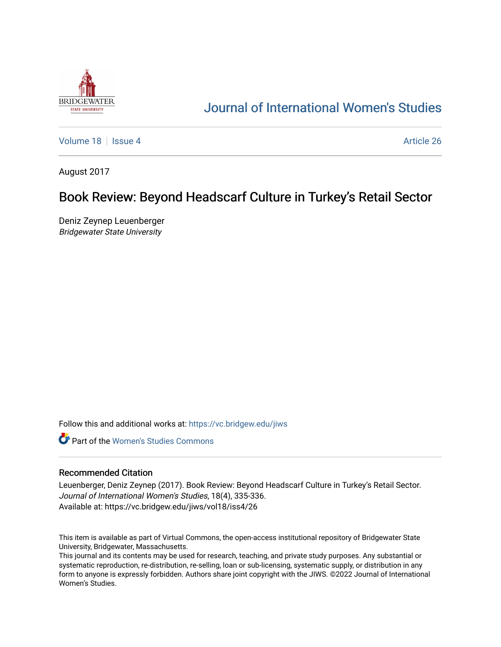

# [Journal of International Women's Studies](https://vc.bridgew.edu/jiws)

[Volume 18](https://vc.bridgew.edu/jiws/vol18) September 26 Article 26

August 2017

## Book Review: Beyond Headscarf Culture in Turkey's Retail Sector

Deniz Zeynep Leuenberger Bridgewater State University

Follow this and additional works at: [https://vc.bridgew.edu/jiws](https://vc.bridgew.edu/jiws?utm_source=vc.bridgew.edu%2Fjiws%2Fvol18%2Fiss4%2F26&utm_medium=PDF&utm_campaign=PDFCoverPages)

**C** Part of the Women's Studies Commons

### Recommended Citation

Leuenberger, Deniz Zeynep (2017). Book Review: Beyond Headscarf Culture in Turkey's Retail Sector. Journal of International Women's Studies, 18(4), 335-336. Available at: https://vc.bridgew.edu/jiws/vol18/iss4/26

This item is available as part of Virtual Commons, the open-access institutional repository of Bridgewater State University, Bridgewater, Massachusetts.

This journal and its contents may be used for research, teaching, and private study purposes. Any substantial or systematic reproduction, re-distribution, re-selling, loan or sub-licensing, systematic supply, or distribution in any form to anyone is expressly forbidden. Authors share joint copyright with the JIWS. ©2022 Journal of International Women's Studies.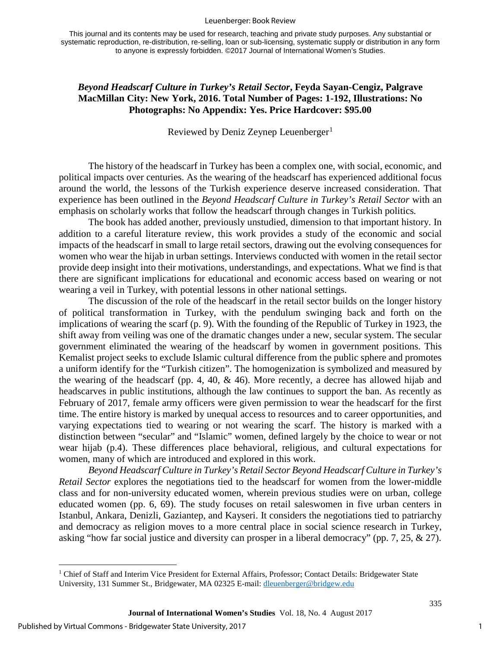#### Leuenberger: Book Review

This journal and its contents may be used for research, teaching and private study purposes. Any substantial or systematic reproduction, re-distribution, re-selling, loan or sub-licensing, systematic supply or distribution in any form to anyone is expressly forbidden. ©2017 Journal of International Women's Studies.

### *Beyond Headscarf Culture in Turkey's Retail Sector***, Feyda Sayan-Cengiz, Palgrave MacMillan City: New York, 2016. Total Number of Pages: 1-192, Illustrations: No Photographs: No Appendix: Yes. Price Hardcover: \$95.00**

Reviewed by Deniz Zeynep Leuenberger<sup>[1](#page-1-0)</sup>

The history of the headscarf in Turkey has been a complex one, with social, economic, and political impacts over centuries. As the wearing of the headscarf has experienced additional focus around the world, the lessons of the Turkish experience deserve increased consideration. That experience has been outlined in the *Beyond Headscarf Culture in Turkey's Retail Sector* with an emphasis on scholarly works that follow the headscarf through changes in Turkish politics*.*

The book has added another, previously unstudied, dimension to that important history. In addition to a careful literature review, this work provides a study of the economic and social impacts of the headscarf in small to large retail sectors, drawing out the evolving consequences for women who wear the hijab in urban settings. Interviews conducted with women in the retail sector provide deep insight into their motivations, understandings, and expectations. What we find is that there are significant implications for educational and economic access based on wearing or not wearing a veil in Turkey, with potential lessons in other national settings.

The discussion of the role of the headscarf in the retail sector builds on the longer history of political transformation in Turkey, with the pendulum swinging back and forth on the implications of wearing the scarf (p. 9). With the founding of the Republic of Turkey in 1923, the shift away from veiling was one of the dramatic changes under a new, secular system. The secular government eliminated the wearing of the headscarf by women in government positions. This Kemalist project seeks to exclude Islamic cultural difference from the public sphere and promotes a uniform identify for the "Turkish citizen". The homogenization is symbolized and measured by the wearing of the headscarf (pp. 4, 40, & 46). More recently, a decree has allowed hijab and headscarves in public institutions, although the law continues to support the ban. As recently as February of 2017, female army officers were given permission to wear the headscarf for the first time. The entire history is marked by unequal access to resources and to career opportunities, and varying expectations tied to wearing or not wearing the scarf. The history is marked with a distinction between "secular" and "Islamic" women, defined largely by the choice to wear or not wear hijab (p.4). These differences place behavioral, religious, and cultural expectations for women, many of which are introduced and explored in this work.

*Beyond Headscarf Culture in Turkey's Retail Sector Beyond Headscarf Culture in Turkey's Retail Sector* explores the negotiations tied to the headscarf for women from the lower-middle class and for non-university educated women, wherein previous studies were on urban, college educated women (pp. 6, 69). The study focuses on retail saleswomen in five urban centers in Istanbul, Ankara, Denizli, Gaziantep, and Kayseri. It considers the negotiations tied to patriarchy and democracy as religion moves to a more central place in social science research in Turkey, asking "how far social justice and diversity can prosper in a liberal democracy" (pp. 7, 25, & 27).

l

1

335

<span id="page-1-0"></span><sup>&</sup>lt;sup>1</sup> Chief of Staff and Interim Vice President for External Affairs, Professor; Contact Details: Bridgewater State University, 131 Summer St., Bridgewater, MA 02325 E-mail: [dleuenberger@bridgew.edu](mailto:dleuenberger@bridgew.edu)